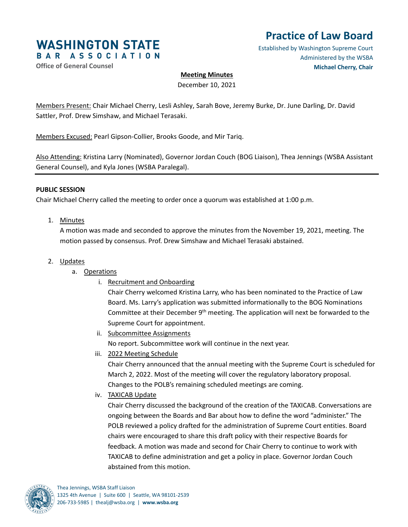

# **Practice of Law Board**

Established by Washington Supreme Court Administered by the WSBA **Michael Cherry, Chair**

### **Office of General Counsel**

## **Meeting Minutes**

December 10, 2021

Members Present: Chair Michael Cherry, Lesli Ashley, Sarah Bove, Jeremy Burke, Dr. June Darling, Dr. David Sattler, Prof. Drew Simshaw, and Michael Terasaki.

Members Excused: Pearl Gipson-Collier, Brooks Goode, and Mir Tariq.

Also Attending: Kristina Larry (Nominated), Governor Jordan Couch (BOG Liaison), Thea Jennings (WSBA Assistant General Counsel), and Kyla Jones (WSBA Paralegal).

#### **PUBLIC SESSION**

Chair Michael Cherry called the meeting to order once a quorum was established at 1:00 p.m.

1. Minutes

A motion was made and seconded to approve the minutes from the November 19, 2021, meeting. The motion passed by consensus. Prof. Drew Simshaw and Michael Terasaki abstained.

#### 2. Updates

- a. Operations
	- i. Recruitment and Onboarding

Chair Cherry welcomed Kristina Larry, who has been nominated to the Practice of Law Board. Ms. Larry's application was submitted informationally to the BOG Nominations Committee at their December  $9<sup>th</sup>$  meeting. The application will next be forwarded to the Supreme Court for appointment.

- ii. Subcommittee Assignments No report. Subcommittee work will continue in the next year.
- iii. 2022 Meeting Schedule

Chair Cherry announced that the annual meeting with the Supreme Court is scheduled for March 2, 2022. Most of the meeting will cover the regulatory laboratory proposal. Changes to the POLB's remaining scheduled meetings are coming.

iv. TAXICAB Update

Chair Cherry discussed the background of the creation of the TAXICAB. Conversations are ongoing between the Boards and Bar about how to define the word "administer." The POLB reviewed a policy drafted for the administration of Supreme Court entities. Board chairs were encouraged to share this draft policy with their respective Boards for feedback. A motion was made and second for Chair Cherry to continue to work with TAXICAB to define administration and get a policy in place. Governor Jordan Couch abstained from this motion.